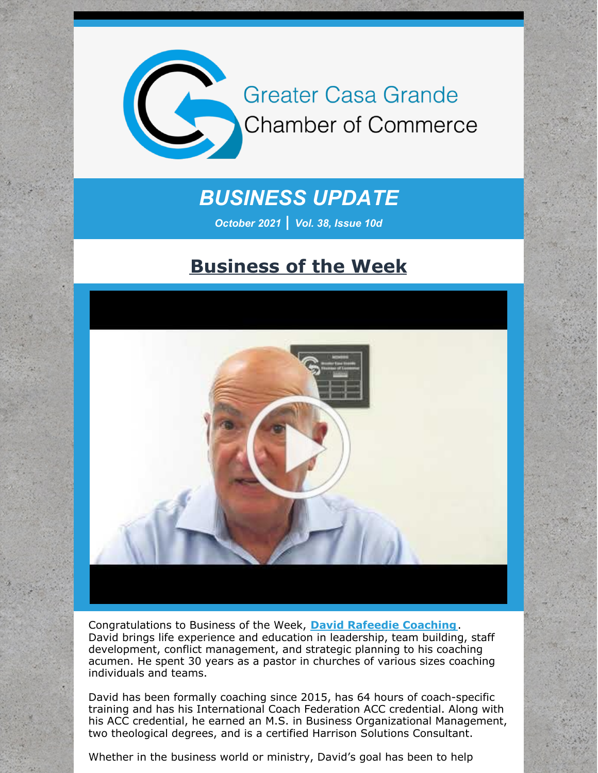

# *BUSINESS UPDATE*

*October 2021 | Vol. 38, Issue 10d*

### **Business of the Week**



Congratulations to Business of the Week, **David Rafeedie [Coaching](http://www.davidthecoach.com/)**. David brings life experience and education in leadership, team building, staff development, conflict management, and strategic planning to his coaching acumen. He spent 30 years as a pastor in churches of various sizes coaching individuals and teams.

David has been formally coaching since 2015, has 64 hours of coach-specific training and has his International Coach Federation ACC credential. Along with his ACC credential, he earned an M.S. in Business Organizational Management, two theological degrees, and is a certified Harrison Solutions Consultant.

Whether in the business world or ministry, David's goal has been to help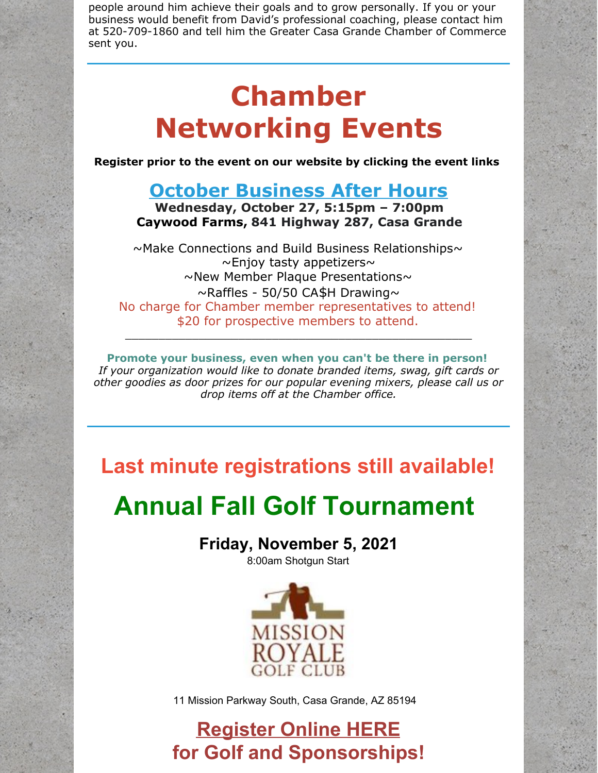people around him achieve their goals and to grow personally. If you or your business would benefit from David's professional coaching, please contact him at 520-709-1860 and tell him the Greater Casa Grande Chamber of Commerce sent you.

# **Chamber Networking Events**

**Register prior to the event on our website by clicking the event links**

#### **October [Business](https://r20.rs6.net/tn.jsp?f=001Nt70Rx8pssGKV118FS69eCf1JbaBDPLRMbtcdfyQIqogLHncf_VSW9a8J0qVe8AAD9sEXvsbpydtOFr8fb9RysEK4vmuXO14OOoH1bC-CzZUhwvT3vuztz7zuB-HLe_o509hZzsxfVrTw7HuzIDdDym_Mq_SLXfQfqU8vfZoLrgy-7jc3RvFGvu2rWQ8xD_O2OwxBobG7KdfE7WEO4ogohlRpGYeM34FVYJj3KpR9WA=&c=&ch=) After Hours**

**Wednesday, October 27, 5:15pm – 7:00pm Caywood Farms, 841 Highway 287, Casa Grande**

 $\sim$ Make Connections and Build Business Relationships $\sim$  $\sim$ Enjoy tasty appetizers $\sim$  $\sim$ New Member Plaque Presentations $\sim$  $\sim$ Raffles - 50/50 CA\$H Drawing $\sim$ No charge for Chamber member representatives to attend! \$20 for prospective members to attend. \_\_\_\_\_\_\_\_\_\_\_\_\_\_\_\_\_\_\_\_\_\_\_\_\_\_\_\_\_\_\_\_\_\_\_\_\_\_\_\_\_\_\_\_\_\_\_\_\_\_\_\_

**Promote your business, even when you can't be there in person!** *If your organization would like to donate branded items, swag, gift cards or other goodies as door prizes for our popular evening mixers, please call us or drop items off at the Chamber office.*

**Last minute registrations still available!**

# **Annual Fall Golf Tournament**

#### **Friday, November 5, 2021**

8:00am Shotgun Start



11 Mission Parkway South, Casa Grande, AZ 85194

# **[Register](https://cca.casagrandechamber.org/EvtListing.aspx?dbid2=AZCAGR&evtid=20785&class=E) Online HERE for Golf and Sponsorships!**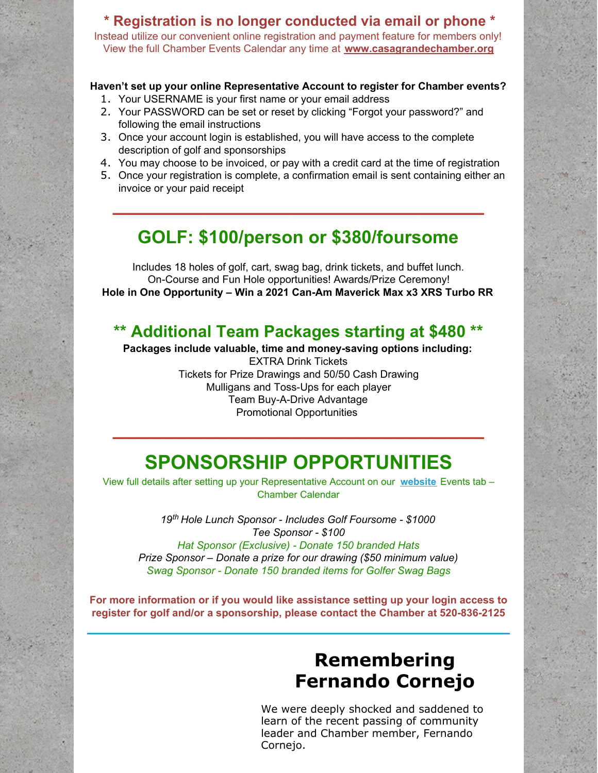#### **\* Registration is no longer conducted via email or phone \*** Instead utilize our convenient online registration and payment feature for members only! View the full Chamber Events Calendar any time at **[www.casagrandechamber.org](http://www.casagrandechamber.org)**

#### **Haven't set up your online Representative Account to register for Chamber events?**

- 1. Your USERNAME is your first name or your email address
- 2. Your PASSWORD can be set or reset by clicking "Forgot your password?" and following the email instructions
- 3. Once your account login is established, you will have access to the complete description of golf and sponsorships
- 4. You may choose to be invoiced, or pay with a credit card at the time of registration
- 5. Once your registration is complete, a confirmation email is sent containing either an invoice or your paid receipt

**\_\_\_\_\_\_\_\_\_\_\_\_\_\_\_\_\_\_\_\_\_\_\_\_\_\_\_\_\_**

#### **GOLF: \$100/person or \$380/foursome**

Includes 18 holes of golf, cart, swag bag, drink tickets, and buffet lunch. On-Course and Fun Hole opportunities! Awards/Prize Ceremony! **Hole in One Opportunity – Win a 2021 Can-Am Maverick Max x3 XRS Turbo RR**

#### **\*\* Additional Team Packages starting at \$480 \*\***

**Packages include valuable, time and money-saving options including:** EXTRA Drink Tickets Tickets for Prize Drawings and 50/50 Cash Drawing Mulligans and Toss-Ups for each player Team Buy-A-Drive Advantage Promotional Opportunities **\_\_\_\_\_\_\_\_\_\_\_\_\_\_\_\_\_\_\_\_\_\_\_\_\_\_\_\_\_**

## **SPONSORSHIP OPPORTUNITIES**

View full details after setting up your Representative Account on our **[website](http://www.casagrandechamber.org)** Events tab – Chamber Calendar

*19 th Hole Lunch Sponsor - Includes Golf Foursome - \$1000 Tee Sponsor - \$100 Hat Sponsor (Exclusive) - Donate 150 branded Hats Prize Sponsor – Donate a prize for our drawing (\$50 minimum value) Swag Sponsor - Donate 150 branded items for Golfer Swag Bags*

**For more information or if you would like assistance setting up your login access to register for golf and/or a sponsorship, please contact the Chamber at 520-836-2125**

## **Remembering Fernando Cornejo**

We were deeply shocked and saddened to learn of the recent passing of community leader and Chamber member, Fernando Cornejo.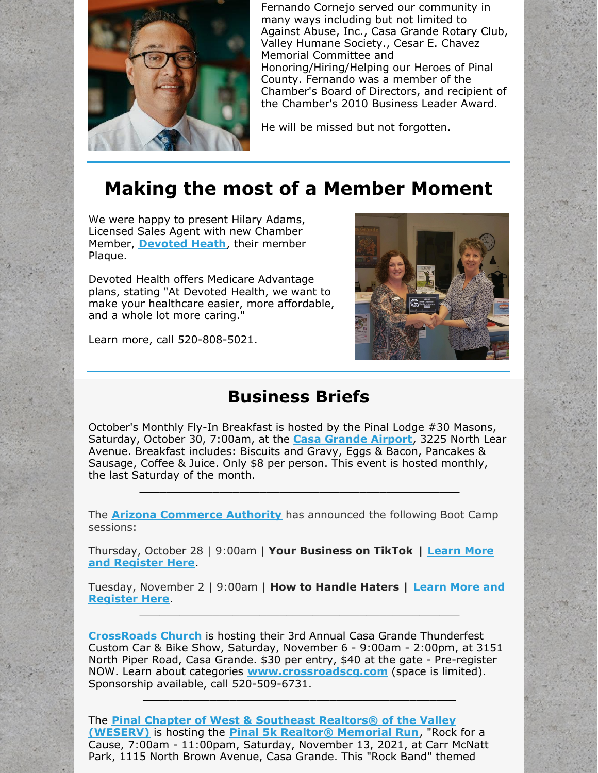

Fernando Cornejo served our community in many ways including but not limited to Against Abuse, Inc., Casa Grande Rotary Club, Valley Humane Society., Cesar E. Chavez Memorial Committee and Honoring/Hiring/Helping our Heroes of Pinal County. Fernando was a member of the Chamber's Board of Directors, and recipient of the Chamber's 2010 Business Leader Award.

He will be missed but not forgotten.

# **Making the most of a Member Moment**

We were happy to present Hilary Adams, Licensed Sales Agent with new Chamber Member, **[Devoted](http://www.devoted.com) Heath**, their member Plaque.

Devoted Health offers Medicare Advantage plans, stating "At Devoted Health, we want to make your healthcare easier, more affordable, and a whole lot more caring."

Learn more, call 520-808-5021.



### **Business Briefs**

October's Monthly Fly-In Breakfast is hosted by the Pinal Lodge #30 Masons, Saturday, October 30, 7:00am, at the **Casa [Grande](https://casagrandeaz.gov/municipal-airport/) Airport**, 3225 North Lear Avenue. Breakfast includes: Biscuits and Gravy, Eggs & Bacon, Pancakes & Sausage, Coffee & Juice. Only \$8 per person. This event is hosted monthly, the last Saturday of the month.

\_\_\_\_\_\_\_\_\_\_\_\_\_\_\_\_\_\_\_\_\_\_\_\_\_\_\_\_\_\_\_\_\_\_\_\_\_\_\_\_\_\_\_\_\_\_\_\_

The **Arizona [Commerce](http://r20.rs6.net/tn.jsp?f=001SkEbY6S5c_cQ3y1HIaOw0L8jlX9abf_pEcIRRHG4Yi9DmrL60O5qqbS0cIsAlwk8qt5PCLvUm1m7XDGV7FW-AV7fSfGUTj05S6WJYXcAH07nDPiO8eD3s42OpoRYpl-uFgPvFRr52ysAnWQiPnGB1Q==&c=40Rchfu24fH_FSH_SPfTMXFJfdwMX2fJ9RdcTJQdqdoM4_J4K6Yrog==&ch=_uiGZHVIP-vChPUTNtsEjpPTVZUaeuo3h9avpJB2DGRYFnfbn9Takw==) Authority** has announced the following Boot Camp sessions:

[Thursday,](https://azcommerce.zoom.us/webinar/register/WN_XB0Mfsf6S0iEzANO8N_rEg) October 28 | 9:00am | **Your Business on TikTok | Learn More and Register Here**.

Tuesday, [November](https://azcommerce.zoom.us/webinar/register/WN_DjDXQEulScCkRQxMGKP9ZQ) 2 | 9:00am | **How to Handle Haters | Learn More and Register Here**. \_\_\_\_\_\_\_\_\_\_\_\_\_\_\_\_\_\_\_\_\_\_\_\_\_\_\_\_\_\_\_\_\_\_\_\_\_\_\_\_\_\_\_\_\_\_\_\_

**[CrossRoads](https://r20.rs6.net/tn.jsp?f=0018PIxeZcgSjXHDbjFEFSM3HcuGt68LFEk9cNXMuXW5-MUcohdjzI4-sMetSEQcb_r2r1IK3aYLS8LhYHfatVhUsoAHQ3Ty2qaKEwXxrzoEVXQtxmMAGNGV59oJevZnPxTJNXr-pW8NmSY9pBFX77PeA==&c=bC7LA_txQh2-Q-fHt4_gadG5zQUI7J-Cb-jyeReg_ToUuIJ90OGSQQ==&ch=NLZ0hafGRPdwcj4NgXisG2ZYk-74zvs69nmBoF2geJe2DWwgxlL0AQ==) Church** is hosting their 3rd Annual Casa Grande Thunderfest Custom Car & Bike Show, Saturday, November 6 - 9:00am - 2:00pm, at 3151 North Piper Road, Casa Grande. \$30 per entry, \$40 at the gate - Pre-register NOW. Learn about categories **[www.crossroadscg.com](https://r20.rs6.net/tn.jsp?f=0018PIxeZcgSjXHDbjFEFSM3HcuGt68LFEk9cNXMuXW5-MUcohdjzI4-j3dc6ZwSY13rqq4jP9NMYLjrC5o_FoWQ_GYZLP_YvvQ6xGujO12i9nd667u9KwoMfD1T8lblwLlAD1PkybHpUYNG0ugbd0rYA==&c=bC7LA_txQh2-Q-fHt4_gadG5zQUI7J-Cb-jyeReg_ToUuIJ90OGSQQ==&ch=NLZ0hafGRPdwcj4NgXisG2ZYk-74zvs69nmBoF2geJe2DWwgxlL0AQ==)** (space is limited). Sponsorship available, call 520-509-6731.

\_\_\_\_\_\_\_\_\_\_\_\_\_\_\_\_\_\_\_\_\_\_\_\_\_\_\_\_\_\_\_\_\_\_\_\_\_\_\_\_\_\_\_\_\_\_\_

The **Pinal Chapter of West & Southeast Realtors® of the Valley [\(WESERV\)](https://pinal.weserv.realtor/)** is hosting the **Pinal 5k Realtor® [Memorial](https://weserv.realtor/calendar.html?eid=4991) Run**, "Rock for a Cause, 7:00am - 11:00pam, Saturday, November 13, 2021, at Carr McNatt Park, 1115 North Brown Avenue, Casa Grande. This "Rock Band" themed